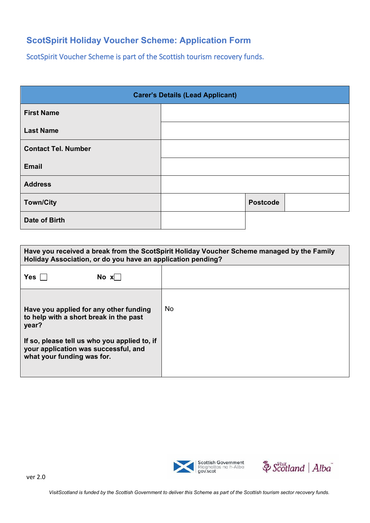## **ScotSpirit Holiday Voucher Scheme: Application Form**

ScotSpirit Voucher Scheme is part of the Scottish tourism recovery funds.

| <b>Carer's Details (Lead Applicant)</b> |  |                 |  |
|-----------------------------------------|--|-----------------|--|
| <b>First Name</b>                       |  |                 |  |
| <b>Last Name</b>                        |  |                 |  |
| <b>Contact Tel. Number</b>              |  |                 |  |
| <b>Email</b>                            |  |                 |  |
| <b>Address</b>                          |  |                 |  |
| <b>Town/City</b>                        |  | <b>Postcode</b> |  |
| Date of Birth                           |  |                 |  |

| Have you received a break from the ScotSpirit Holiday Voucher Scheme managed by the Family<br>Holiday Association, or do you have an application pending?                                                       |     |  |
|-----------------------------------------------------------------------------------------------------------------------------------------------------------------------------------------------------------------|-----|--|
| Yes<br>$\overline{N}$ No x $\overline{N}$                                                                                                                                                                       |     |  |
| Have you applied for any other funding<br>to help with a short break in the past<br>year?<br>If so, please tell us who you applied to, if<br>your application was successful, and<br>what your funding was for. | No. |  |



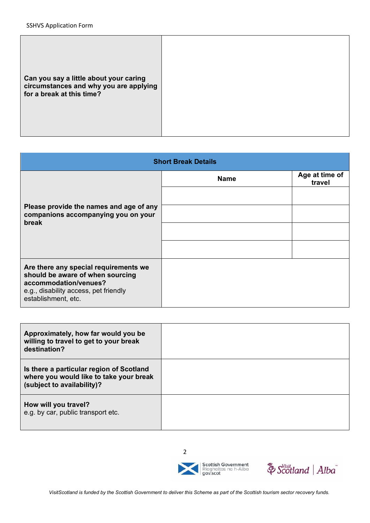|--|

| <b>Short Break Details</b>                                                                                                                                         |             |                          |  |
|--------------------------------------------------------------------------------------------------------------------------------------------------------------------|-------------|--------------------------|--|
| Please provide the names and age of any<br>companions accompanying you on your<br>break                                                                            | <b>Name</b> | Age at time of<br>travel |  |
|                                                                                                                                                                    |             |                          |  |
|                                                                                                                                                                    |             |                          |  |
|                                                                                                                                                                    |             |                          |  |
|                                                                                                                                                                    |             |                          |  |
| Are there any special requirements we<br>should be aware of when sourcing<br>accommodation/venues?<br>e.g., disability access, pet friendly<br>establishment, etc. |             |                          |  |

| Approximately, how far would you be<br>willing to travel to get to your break<br>destination?                     |  |
|-------------------------------------------------------------------------------------------------------------------|--|
| Is there a particular region of Scotland<br>where you would like to take your break<br>(subject to availability)? |  |
| How will you travel?<br>e.g. by car, public transport etc.                                                        |  |

2